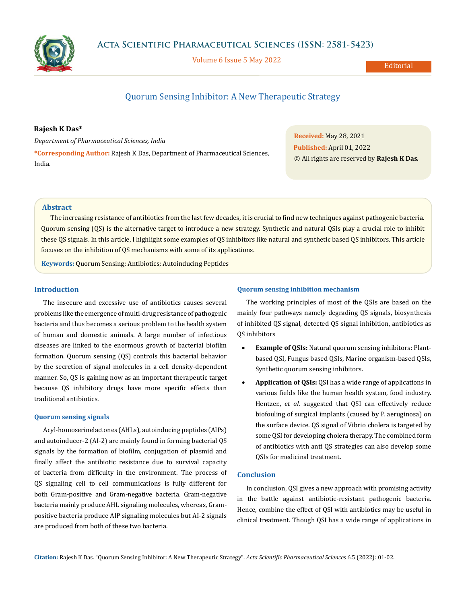

Volume 6 Issue 5 May 2022

**Editorial** 

# Quorum Sensing Inhibitor: A New Therapeutic Strategy

## **Rajesh K Das\***

*Department of Pharmaceutical Sciences, India* **\*Corresponding Author:** Rajesh K Das, Department of Pharmaceutical Sciences, India.

**Received:** May 28, 2021 **Published:** April 01, 2022 © All rights are reserved by **Rajesh K Das***.*

## **Abstract**

The increasing resistance of antibiotics from the last few decades, it is crucial to find new techniques against pathogenic bacteria. Quorum sensing (QS) is the alternative target to introduce a new strategy. Synthetic and natural QSIs play a crucial role to inhibit these QS signals. In this article, I highlight some examples of QS inhibitors like natural and synthetic based QS inhibitors. This article focuses on the inhibition of QS mechanisms with some of its applications.

**Keywords:** Quorum Sensing; Antibiotics; Autoinducing Peptides

## **Introduction**

The insecure and excessive use of antibiotics causes several problems like the emergence of multi-drug resistance of pathogenic bacteria and thus becomes a serious problem to the health system of human and domestic animals. A large number of infectious diseases are linked to the enormous growth of bacterial biofilm formation. Quorum sensing (QS) controls this bacterial behavior by the secretion of signal molecules in a cell density-dependent manner. So, QS is gaining now as an important therapeutic target because QS inhibitory drugs have more specific effects than traditional antibiotics.

#### **Quorum sensing signals**

Acyl-homoserinelactones (AHLs), autoinducing peptides (AIPs) and autoinducer-2 (AI-2) are mainly found in forming bacterial QS signals by the formation of biofilm, conjugation of plasmid and finally affect the antibiotic resistance due to survival capacity of bacteria from difficulty in the environment. The process of QS signaling cell to cell communications is fully different for both Gram-positive and Gram-negative bacteria. Gram-negative bacteria mainly produce AHL signaling molecules, whereas, Grampositive bacteria produce AIP signaling molecules but AI-2 signals are produced from both of these two bacteria.

#### **Quorum sensing inhibition mechanism**

The working principles of most of the QSIs are based on the mainly four pathways namely degrading QS signals, biosynthesis of inhibited QS signal, detected QS signal inhibition, antibiotics as QS inhibitors

- • **Example of QSIs:** Natural quorum sensing inhibitors: Plantbased QSI, Fungus based QSIs, Marine organism-based QSIs, Synthetic quorum sensing inhibitors.
- Application of QSIs: QSI has a wide range of applications in various fields like the human health system, food industry. Hentzer., *et al*. suggested that QSI can effectively reduce biofouling of surgical implants (caused by P. aeruginosa) on the surface device. QS signal of Vibrio cholera is targeted by some QSI for developing cholera therapy. The combined form of antibiotics with anti QS strategies can also develop some QSIs for medicinal treatment.

## **Conclusion**

In conclusion, QSI gives a new approach with promising activity in the battle against antibiotic-resistant pathogenic bacteria. Hence, combine the effect of QSI with antibiotics may be useful in clinical treatment. Though QSI has a wide range of applications in

**Citation:** Rajesh K Das*.* "Quorum Sensing Inhibitor: A New Therapeutic Strategy". *Acta Scientific Pharmaceutical Sciences* 6.5 (2022): 01-02.